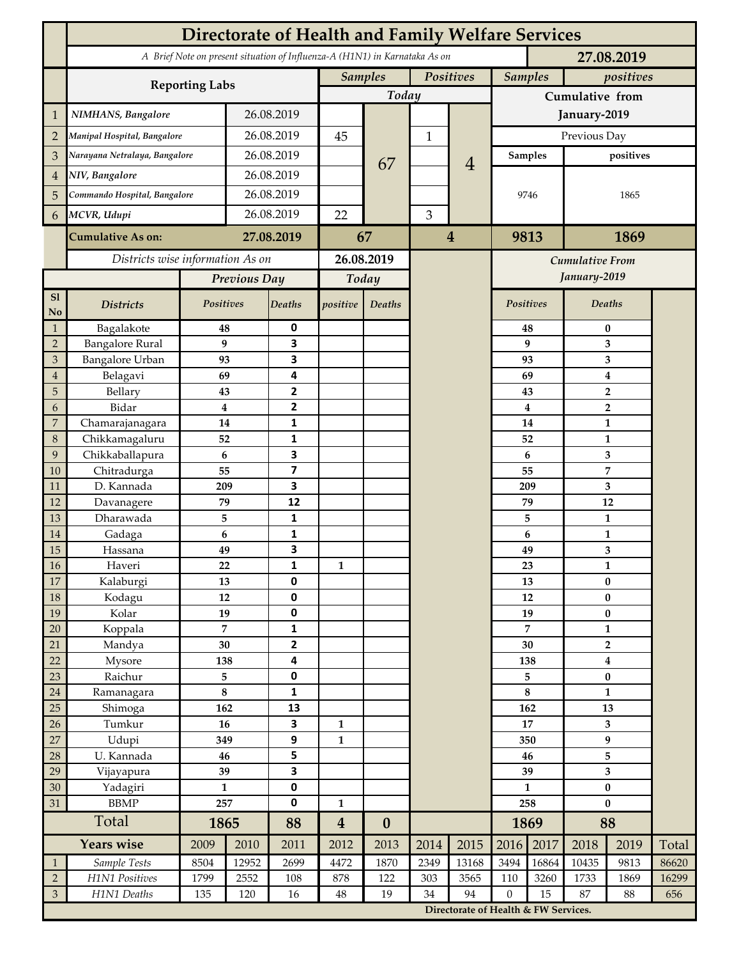|                             | <b>Directorate of Health and Family Welfare Services</b>                                 |                             |                  |                         |                                         |                             |              |                                      |                     |                         |                                    |      |       |  |
|-----------------------------|------------------------------------------------------------------------------------------|-----------------------------|------------------|-------------------------|-----------------------------------------|-----------------------------|--------------|--------------------------------------|---------------------|-------------------------|------------------------------------|------|-------|--|
|                             | A Brief Note on present situation of Influenza-A (H1N1) in Karnataka As on<br>27.08.2019 |                             |                  |                         |                                         |                             |              |                                      |                     |                         |                                    |      |       |  |
|                             |                                                                                          | Positives<br><b>Samples</b> |                  |                         |                                         | <b>Samples</b><br>positives |              |                                      |                     |                         |                                    |      |       |  |
|                             | <b>Reporting Labs</b>                                                                    | Today                       |                  |                         |                                         | Cumulative from             |              |                                      |                     |                         |                                    |      |       |  |
| $\mathbf 1$                 | NIMHANS, Bangalore                                                                       | 26.08.2019                  |                  |                         |                                         |                             |              | January-2019                         |                     |                         |                                    |      |       |  |
| $\overline{2}$              | Manipal Hospital, Bangalore                                                              |                             |                  | 26.08.2019              |                                         |                             | $\mathbf{1}$ |                                      | Previous Day        |                         |                                    |      |       |  |
| 3                           | Narayana Netralaya, Bangalore                                                            |                             |                  | 26.08.2019              |                                         |                             |              |                                      | <b>Samples</b>      |                         | positives                          |      |       |  |
| 4                           | NIV, Bangalore                                                                           |                             |                  | 26.08.2019              |                                         | 67                          |              | $\overline{4}$                       |                     |                         |                                    |      |       |  |
| 5                           | Commando Hospital, Bangalore                                                             |                             | 26.08.2019       |                         |                                         |                             |              |                                      | 9746                |                         | 1865                               |      |       |  |
| 6                           | MCVR, Udupi                                                                              |                             | 26.08.2019       |                         | 22                                      |                             | 3            |                                      |                     |                         |                                    |      |       |  |
|                             |                                                                                          |                             |                  |                         |                                         |                             |              | 9813                                 |                     | 1869                    |                                    |      |       |  |
|                             | <b>Cumulative As on:</b>                                                                 | 27.08.2019                  |                  | 67                      |                                         | $\overline{4}$              |              |                                      |                     |                         |                                    |      |       |  |
|                             | Districts wise information As on                                                         |                             |                  | 26.08.2019              |                                         |                             |              | Cumulative From                      |                     |                         |                                    |      |       |  |
|                             |                                                                                          | Previous Day                |                  | Today                   |                                         |                             |              |                                      |                     |                         | January-2019                       |      |       |  |
| S1<br>N <sub>o</sub>        | <b>Districts</b>                                                                         | Positives                   |                  | <b>Deaths</b>           | positive                                | Deaths                      |              |                                      | <b>Positives</b>    |                         | <b>Deaths</b>                      |      |       |  |
| $\mathbf{1}$                | Bagalakote                                                                               | 48                          |                  | 0                       |                                         |                             |              |                                      |                     | 48                      | $\bf{0}$                           |      |       |  |
| $\mathbf 2$                 | <b>Bangalore Rural</b>                                                                   |                             | 9                | $\overline{\mathbf{3}}$ |                                         |                             |              |                                      |                     | 9                       | 3                                  |      |       |  |
| $\ensuremath{\mathfrak{Z}}$ | <b>Bangalore Urban</b>                                                                   | 93                          |                  | 3<br>4                  |                                         |                             |              |                                      | 93                  | 3                       |                                    |      |       |  |
| 4<br>5                      | Belagavi<br>Bellary                                                                      | 69<br>43                    |                  | $\overline{2}$          |                                         |                             |              |                                      |                     | 69<br>43                | 4<br>$\overline{2}$                |      |       |  |
| 6                           | Bidar                                                                                    |                             | $\boldsymbol{4}$ | $\overline{2}$          |                                         |                             |              |                                      |                     | $\overline{\mathbf{4}}$ | $\overline{2}$                     |      |       |  |
| 7                           | Chamarajanagara                                                                          | 14                          |                  | 1                       |                                         |                             |              |                                      |                     | 14                      | $\mathbf{1}$                       |      |       |  |
| $\,8\,$                     | Chikkamagaluru                                                                           | 52                          |                  | 1                       |                                         |                             |              |                                      |                     | 52                      |                                    | 1    |       |  |
| 9                           | Chikkaballapura                                                                          |                             | 6                | $\overline{\mathbf{3}}$ |                                         |                             |              |                                      |                     | 6                       |                                    | 3    |       |  |
| 10                          | Chitradurga                                                                              | 55                          |                  | $\overline{\mathbf{z}}$ |                                         |                             |              |                                      |                     | 55                      |                                    | 7    |       |  |
| 11                          | D. Kannada                                                                               | 209                         |                  | 3                       |                                         |                             |              |                                      | 209                 |                         | 3                                  |      |       |  |
| 12                          | Davanagere                                                                               | 79                          |                  | 12                      |                                         |                             |              |                                      |                     | 79                      | 12                                 |      |       |  |
| 13<br>14                    | Dharawada<br>Gadaga                                                                      | 6                           | 5                | 1<br>$\mathbf{1}$       |                                         |                             |              |                                      |                     | 5                       | $\mathbf{1}$<br>$\mathbf{1}$       |      |       |  |
| 15                          | Hassana                                                                                  | 49                          |                  | $\overline{\mathbf{3}}$ |                                         |                             |              |                                      | 6<br>49             |                         | 3                                  |      |       |  |
| 16                          | Haveri                                                                                   | 22                          |                  | 1                       | 1                                       |                             |              |                                      |                     | 23                      | $\mathbf{1}$                       |      |       |  |
| 17                          | Kalaburgi                                                                                | 13                          |                  | $\mathbf 0$             |                                         |                             |              |                                      | 13                  |                         | $\bf{0}$                           |      |       |  |
| $18\,$                      | Kodagu                                                                                   | 12                          |                  | $\pmb{0}$               |                                         |                             |              |                                      | 12                  |                         | $\pmb{0}$                          |      |       |  |
| 19                          | Kolar                                                                                    | 19                          |                  | $\pmb{0}$               |                                         |                             |              |                                      | 19                  |                         | $\bf{0}$                           |      |       |  |
| 20                          | Koppala                                                                                  |                             | $\overline{7}$   | $\mathbf 1$             |                                         |                             |              |                                      | 7                   |                         | $\mathbf{1}$                       |      |       |  |
| 21                          | Mandya                                                                                   |                             | 30               | $\mathbf{2}$            |                                         |                             |              |                                      | 30<br>138           |                         | $\overline{2}$<br>$\boldsymbol{4}$ |      |       |  |
| 22<br>$23\,$                | Mysore<br>Raichur                                                                        | 138<br>5                    |                  | 4<br>$\pmb{0}$          |                                         |                             |              |                                      | 5                   |                         | $\pmb{0}$                          |      |       |  |
| $24\,$                      | Ramanagara                                                                               | $\bf 8$                     |                  | $\mathbf{1}$            |                                         |                             |              |                                      | $\bf 8$             |                         | 1                                  |      |       |  |
| 25                          | Shimoga                                                                                  | 162                         |                  | 13                      |                                         |                             |              |                                      | 162                 |                         | 13                                 |      |       |  |
| 26                          | Tumkur                                                                                   | 16                          |                  | $\overline{\mathbf{3}}$ | $\mathbf{1}$                            |                             |              |                                      | 17                  |                         | 3                                  |      |       |  |
| 27                          | Udupi                                                                                    | 349                         |                  | 9                       | $\mathbf{1}$                            |                             |              |                                      | 350                 |                         | 9                                  |      |       |  |
| $28\,$                      | U. Kannada                                                                               | 46                          |                  | 5                       |                                         |                             |              |                                      | 46                  |                         | 5                                  |      |       |  |
| 29                          | Vijayapura                                                                               | 39                          |                  | $\overline{\mathbf{3}}$ |                                         |                             |              |                                      | 39                  |                         | 3                                  |      |       |  |
| 30<br>31                    | Yadagiri<br><b>BBMP</b>                                                                  | $\mathbf{1}$                |                  | $\pmb{0}$<br>$\pmb{0}$  |                                         |                             |              |                                      | $\mathbf{1}$<br>258 |                         | $\bf{0}$<br>$\bf{0}$               |      |       |  |
|                             | Total                                                                                    | 257<br>1865                 |                  | 88                      | $\mathbf{1}$<br>$\overline{\mathbf{4}}$ | $\boldsymbol{0}$            |              |                                      | 1869                |                         | 88                                 |      |       |  |
|                             | <b>Years wise</b>                                                                        | 2009<br>2010                |                  | 2011                    | 2012                                    | 2013                        | 2014         | 2015                                 | 2016                | 2017                    | 2018                               | 2019 | Total |  |
| $\mathbf{1}$                | Sample Tests                                                                             | 8504                        | 12952            | 2699                    | 4472                                    | 1870                        | 2349         | 13168                                | 3494                | 16864                   | 10435                              | 9813 | 86620 |  |
| $\overline{2}$              | H1N1 Positives                                                                           | 1799                        | 2552             | 108                     | 878                                     | 122                         | 303          | 3565                                 | 110                 | 3260                    | 1733                               | 1869 | 16299 |  |
| $\mathfrak{Z}$              | H1N1 Deaths                                                                              | 135                         | 120              | 16                      | $\rm 48$                                | 19                          | 34           | 94                                   | $\boldsymbol{0}$    | 15                      | 87                                 | 88   | 656   |  |
|                             |                                                                                          |                             |                  |                         |                                         |                             |              | Directorate of Health & FW Services. |                     |                         |                                    |      |       |  |